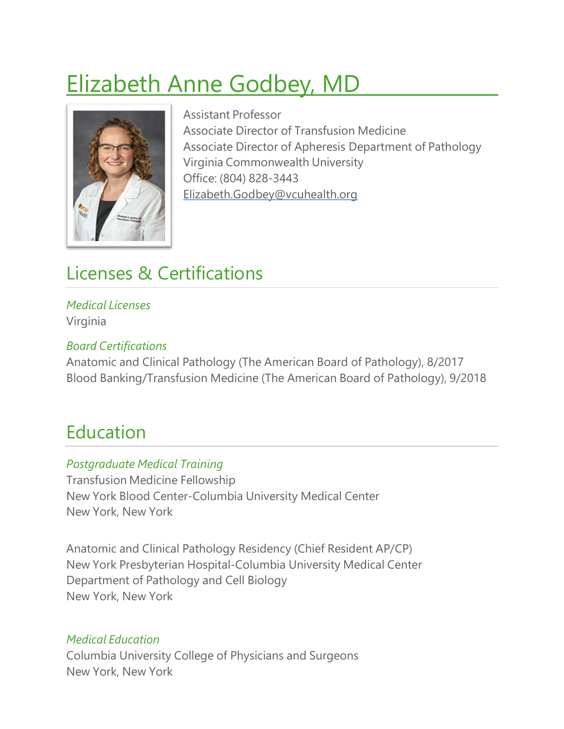# Elizabeth Anne Godbey, MD



Assistant Professor Associate Director of Transfusion Medicine Associate Director of Apheresis Department of Pathology Virginia Commonwealth University Office: (804) 828-3443 [Elizabeth.Godbey@vcuhealth.org](mailto:Elizabeth.Godbey@vcuhealth.org)

# Licenses & Certifications

#### *Medical Licenses* Virginia

#### *Board Certifications*

Anatomic and Clinical Pathology (The American Board of Pathology), 8/2017 Blood Banking/Transfusion Medicine (The American Board of Pathology), 9/2018

### Education

#### *Postgraduate Medical Training*

Transfusion Medicine Fellowship New York Blood Center-Columbia University Medical Center New York, New York

Anatomic and Clinical Pathology Residency (Chief Resident AP/CP) New York Presbyterian Hospital-Columbia University Medical Center Department of Pathology and Cell Biology New York, New York

#### *Medical Education*

Columbia University College of Physicians and Surgeons New York, New York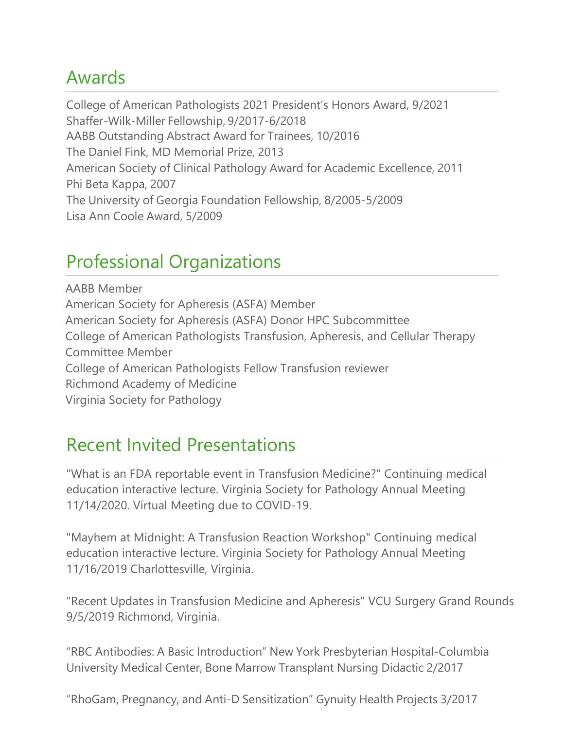# Awards

College of American Pathologists 2021 President's Honors Award, 9/2021 Shaffer-Wilk-Miller Fellowship, 9/2017-6/2018 AABB Outstanding Abstract Award for Trainees, 10/2016 The Daniel Fink, MD Memorial Prize, 2013 American Society of Clinical Pathology Award for Academic Excellence, 2011 Phi Beta Kappa, 2007 The University of Georgia Foundation Fellowship, 8/2005-5/2009 Lisa Ann Coole Award, 5/2009

# Professional Organizations

AABB Member American Society for Apheresis (ASFA) Member American Society for Apheresis (ASFA) Donor HPC Subcommittee College of American Pathologists Transfusion, Apheresis, and Cellular Therapy Committee Member College of American Pathologists Fellow Transfusion reviewer Richmond Academy of Medicine Virginia Society for Pathology

### Recent Invited Presentations

"What is an FDA reportable event in Transfusion Medicine?" Continuing medical education interactive lecture. Virginia Society for Pathology Annual Meeting 11/14/2020. Virtual Meeting due to COVID-19.

"Mayhem at Midnight: A Transfusion Reaction Workshop" Continuing medical education interactive lecture. Virginia Society for Pathology Annual Meeting 11/16/2019 Charlottesville, Virginia.

"Recent Updates in Transfusion Medicine and Apheresis" VCU Surgery Grand Rounds 9/5/2019 Richmond, Virginia.

"RBC Antibodies: A Basic Introduction" New York Presbyterian Hospital-Columbia University Medical Center, Bone Marrow Transplant Nursing Didactic 2/2017

"RhoGam, Pregnancy, and Anti-D Sensitization" Gynuity Health Projects 3/2017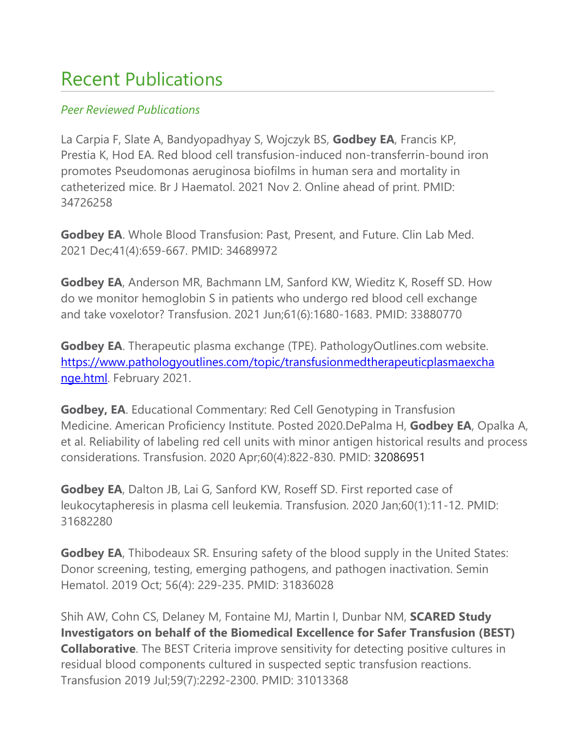# Recent Publications

#### *Peer Reviewed Publications*

La Carpia F, Slate A, Bandyopadhyay S, Wojczyk BS, **Godbey EA**, Francis KP, Prestia K, Hod EA. Red blood cell transfusion-induced non-transferrin-bound iron promotes Pseudomonas aeruginosa biofilms in human sera and mortality in catheterized mice. Br J Haematol. 2021 Nov 2. Online ahead of print. PMID: 34726258

**Godbey EA**. Whole Blood Transfusion: Past, Present, and Future. Clin Lab Med. 2021 Dec;41(4):659-667. PMID: 34689972

**Godbey EA**, Anderson MR, Bachmann LM, Sanford KW, Wieditz K, Roseff SD. How do we monitor hemoglobin S in patients who undergo red blood cell exchange and take voxelotor? Transfusion. 2021 Jun;61(6):1680-1683. PMID: 33880770

**Godbey EA**. Therapeutic plasma exchange (TPE). PathologyOutlines.com website. [https://www.pathologyoutlines.com/topic/transfusionmedtherapeuticplasmaexcha](https://www.pathologyoutlines.com/topic/transfusionmedtherapeuticplasmaexchange.html) [nge.html.](https://www.pathologyoutlines.com/topic/transfusionmedtherapeuticplasmaexchange.html) February 2021.

**Godbey, EA**. Educational Commentary: Red Cell Genotyping in Transfusion Medicine. American Proficiency Institute. Posted 2020.DePalma H, **Godbey EA**, Opalka A, et al. Reliability of labeling red cell units with minor antigen historical results and process considerations. Transfusion. 2020 Apr;60(4):822-830. PMID: 32086951

**Godbey EA**, Dalton JB, Lai G, Sanford KW, Roseff SD. First reported case of leukocytapheresis in plasma cell leukemia. Transfusion. 2020 Jan;60(1):11-12. PMID: 31682280

**Godbey EA**, Thibodeaux SR. Ensuring safety of the blood supply in the United States: Donor screening, testing, emerging pathogens, and pathogen inactivation. Semin Hematol. 2019 Oct; 56(4): 229-235. PMID: 31836028

Shih AW, Cohn CS, Delaney M, Fontaine MJ, Martin I, Dunbar NM, **SCARED Study Investigators on behalf of the Biomedical Excellence for Safer Transfusion (BEST) Collaborative**. The BEST Criteria improve sensitivity for detecting positive cultures in residual blood components cultured in suspected septic transfusion reactions. Transfusion 2019 Jul;59(7):2292-2300. PMID: 31013368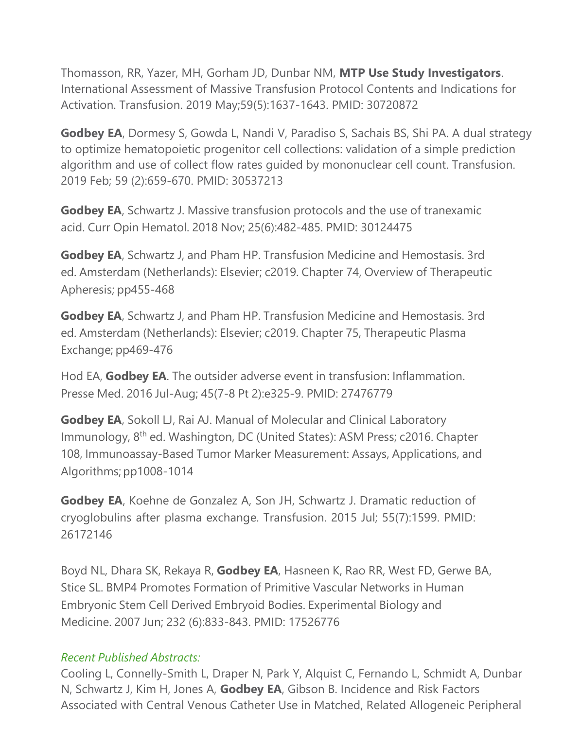Thomasson, RR, Yazer, MH, Gorham JD, Dunbar NM, **MTP Use Study Investigators**. International Assessment of Massive Transfusion Protocol Contents and Indications for Activation. Transfusion. 2019 May;59(5):1637-1643. PMID: 30720872

**Godbey EA**, Dormesy S, Gowda L, Nandi V, Paradiso S, Sachais BS, Shi PA. A dual strategy to optimize hematopoietic progenitor cell collections: validation of a simple prediction algorithm and use of collect flow rates guided by mononuclear cell count. Transfusion. 2019 Feb; 59 (2):659-670. PMID: 30537213

**Godbey EA**, Schwartz J. Massive transfusion protocols and the use of tranexamic acid. Curr Opin Hematol. 2018 Nov; 25(6):482-485. PMID: 30124475

**Godbey EA**, Schwartz J, and Pham HP. Transfusion Medicine and Hemostasis. 3rd ed. Amsterdam (Netherlands): Elsevier; c2019. Chapter 74, Overview of Therapeutic Apheresis; pp455-468

**Godbey EA**, Schwartz J, and Pham HP. Transfusion Medicine and Hemostasis. 3rd ed. Amsterdam (Netherlands): Elsevier; c2019. Chapter 75, Therapeutic Plasma Exchange; pp469-476

Hod EA, **Godbey EA**. The outsider adverse event in transfusion: Inflammation. Presse Med. 2016 Jul-Aug; 45(7-8 Pt 2):e325-9. PMID: 27476779

**Godbey EA**, Sokoll LJ, Rai AJ. Manual of Molecular and Clinical Laboratory Immunology, 8<sup>th</sup> ed. Washington, DC (United States): ASM Press; c2016. Chapter 108, Immunoassay-Based Tumor Marker Measurement: Assays, Applications, and Algorithms; pp1008-1014

**Godbey EA**, Koehne de Gonzalez A, Son JH, Schwartz J. Dramatic reduction of cryoglobulins after plasma exchange. Transfusion. 2015 Jul; 55(7):1599. PMID: 26172146

Boyd NL, Dhara SK, Rekaya R, **Godbey EA**, Hasneen K, Rao RR, West FD, Gerwe BA, Stice SL. BMP4 Promotes Formation of Primitive Vascular Networks in Human Embryonic Stem Cell Derived Embryoid Bodies. Experimental Biology and Medicine. 2007 Jun; 232 (6):833-843. PMID: 17526776

#### *Recent Published Abstracts:*

Cooling L, Connelly-Smith L, Draper N, Park Y, Alquist C, Fernando L, Schmidt A, Dunbar N, Schwartz J, Kim H, Jones A, **Godbey EA**, Gibson B. Incidence and Risk Factors Associated with Central Venous Catheter Use in Matched, Related Allogeneic Peripheral